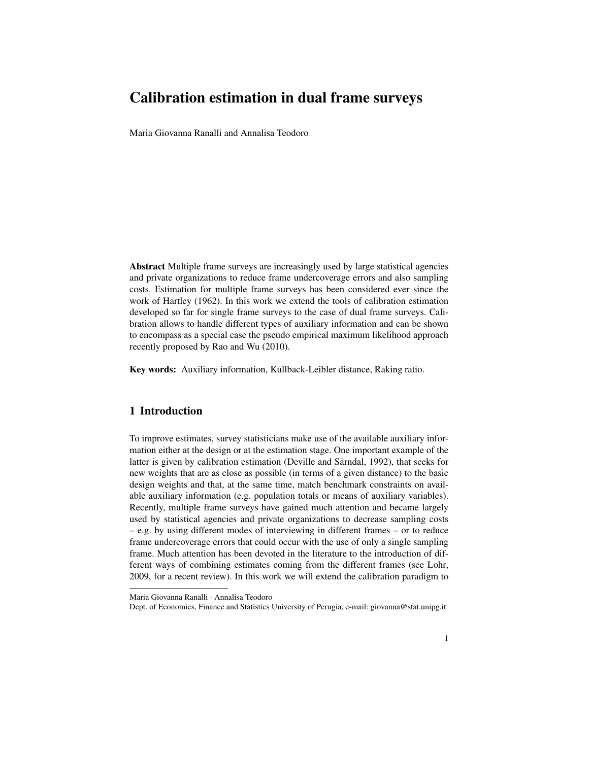# Calibration estimation in dual frame surveys

Maria Giovanna Ranalli and Annalisa Teodoro

Abstract Multiple frame surveys are increasingly used by large statistical agencies and private organizations to reduce frame undercoverage errors and also sampling costs. Estimation for multiple frame surveys has been considered ever since the work of Hartley (1962). In this work we extend the tools of calibration estimation developed so far for single frame surveys to the case of dual frame surveys. Calibration allows to handle different types of auxiliary information and can be shown to encompass as a special case the pseudo empirical maximum likelihood approach recently proposed by Rao and Wu (2010).

Key words: Auxiliary information, Kullback-Leibler distance, Raking ratio.

## 1 Introduction

To improve estimates, survey statisticians make use of the available auxiliary information either at the design or at the estimation stage. One important example of the latter is given by calibration estimation (Deville and Särndal, 1992), that seeks for new weights that are as close as possible (in terms of a given distance) to the basic design weights and that, at the same time, match benchmark constraints on available auxiliary information (e.g. population totals or means of auxiliary variables). Recently, multiple frame surveys have gained much attention and became largely used by statistical agencies and private organizations to decrease sampling costs – e.g. by using different modes of interviewing in different frames – or to reduce frame undercoverage errors that could occur with the use of only a single sampling frame. Much attention has been devoted in the literature to the introduction of different ways of combining estimates coming from the different frames (see Lohr, 2009, for a recent review). In this work we will extend the calibration paradigm to

Maria Giovanna Ranalli · Annalisa Teodoro

Dept. of Economics, Finance and Statistics University of Perugia, e-mail: giovanna@stat.unipg.it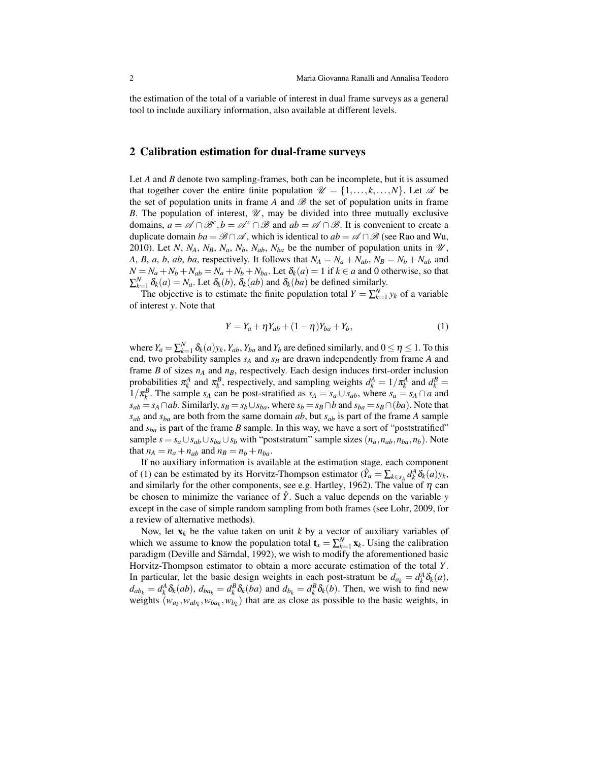the estimation of the total of a variable of interest in dual frame surveys as a general tool to include auxiliary information, also available at different levels.

#### 2 Calibration estimation for dual-frame surveys

Let *A* and *B* denote two sampling-frames, both can be incomplete, but it is assumed that together cover the entire finite population  $\mathcal{U} = \{1, \ldots, k, \ldots, N\}$ . Let  $\mathcal{A}$  be the set of population units in frame *A* and  $\mathscr B$  the set of population units in frame *B*. The population of interest,  $\mathcal{U}$ , may be divided into three mutually exclusive domains,  $a = \mathcal{A} \cap \mathcal{B}^c$ ,  $b = \mathcal{A}^c \cap \mathcal{B}$  and  $ab = \mathcal{A} \cap \mathcal{B}$ . It is convenient to create a duplicate domain  $ba = \mathcal{B} \cap \mathcal{A}$ , which is identical to  $ab = \mathcal{A} \cap \mathcal{B}$  (see Rao and Wu, 2010). Let *N*,  $N_A$ ,  $N_B$ ,  $N_a$ ,  $N_b$ ,  $N_{ab}$ ,  $N_{ba}$  be the number of population units in  $\mathcal{U}$ , *A*, *B*, *a*, *b*, *ab*, *ba*, respectively. It follows that  $N_A = N_a + N_{ab}$ ,  $N_B = N_b + N_{ab}$  and  $N = N_a + N_b + N_{ab} = N_a + N_b + N_{ba}$ . Let  $\delta_k(a) = 1$  if  $k \in a$  and 0 otherwise, so that  $\sum_{k=1}^{N} \delta_k(a) = N_a$ . Let  $\delta_k(b)$ ,  $\delta_k(ab)$  and  $\delta_k(ba)$  be defined similarly.

The objective is to estimate the finite population total  $Y = \sum_{k=1}^{N} y_k$  of a variable of interest *y*. Note that

$$
Y = Y_a + \eta Y_{ab} + (1 - \eta)Y_{ba} + Y_b, \tag{1}
$$

where  $Y_a = \sum_{k=1}^{N} \delta_k(a) y_k$ ,  $Y_{ab}$ ,  $Y_{ba}$  and  $Y_b$  are defined similarly, and  $0 \le \eta \le 1$ . To this end, two probability samples *s<sup>A</sup>* and *s<sup>B</sup>* are drawn independently from frame *A* and frame *B* of sizes  $n_A$  and  $n_B$ , respectively. Each design induces first-order inclusion probabilities  $\pi_k^A$  and  $\pi_k^B$ , respectively, and sampling weights  $d_k^A = 1/\pi_k^A$  and  $d_k^B =$ 1/ $\pi_k^B$ . The sample *s<sub>A</sub>* can be post-stratified as *s<sub>A</sub>* = *s<sub>a</sub>* ∪ *s<sub>ab</sub>*, where *s<sub>a</sub>* = *s<sub>A</sub>* ∩ *a* and  $s_{ab} = s_A \cap ab$ . Similarly,  $s_B = s_b \cup s_{ba}$ , where  $s_b = s_B \cap b$  and  $s_{ba} = s_B \cap (ba)$ . Note that  $s_{ab}$  and  $s_{ba}$  are both from the same domain *ab*, but  $s_{ab}$  is part of the frame *A* sample and  $s_{ba}$  is part of the frame *B* sample. In this way, we have a sort of "poststratified" sample  $s = s_a \cup s_{ab} \cup s_{ba} \cup s_b$  with "poststratum" sample sizes  $(n_a, n_{ab}, n_{ba}, n_b)$ . Note that  $n_A = n_a + n_{ab}$  and  $n_B = n_b + n_{ba}$ .

If no auxiliary information is available at the estimation stage, each component of (1) can be estimated by its Horvitz-Thompson estimator  $(\hat{Y}_a = \sum_{k \in S_A} d_k^A \delta_k(a) y_k$ , and similarly for the other components, see e.g. Hartley, 1962). The value of  $\eta$  can be chosen to minimize the variance of  $\hat{Y}$ . Such a value depends on the variable *y* except in the case of simple random sampling from both frames (see Lohr, 2009, for a review of alternative methods).

Now, let  $x_k$  be the value taken on unit  $k$  by a vector of auxiliary variables of which we assume to know the population total  $\mathbf{t}_x = \sum_{k=1}^N \mathbf{x}_k$ . Using the calibration paradigm (Deville and Särndal, 1992), we wish to modify the aforementioned basic Horvitz-Thompson estimator to obtain a more accurate estimation of the total *Y*. In particular, let the basic design weights in each post-stratum be  $d_{a_k} = d_k^A \delta_k(a)$ ,  $d_{ab_k} = d_k^A \delta_k(ab)$ ,  $d_{ba_k} = d_k^B \delta_k(ba)$  and  $d_{b_k} = d_k^B \delta_k(b)$ . Then, we wish to find new weights  $(w_{a_k}, w_{ab_k}, w_{b a_k}, w_{b k})$  that are as close as possible to the basic weights, in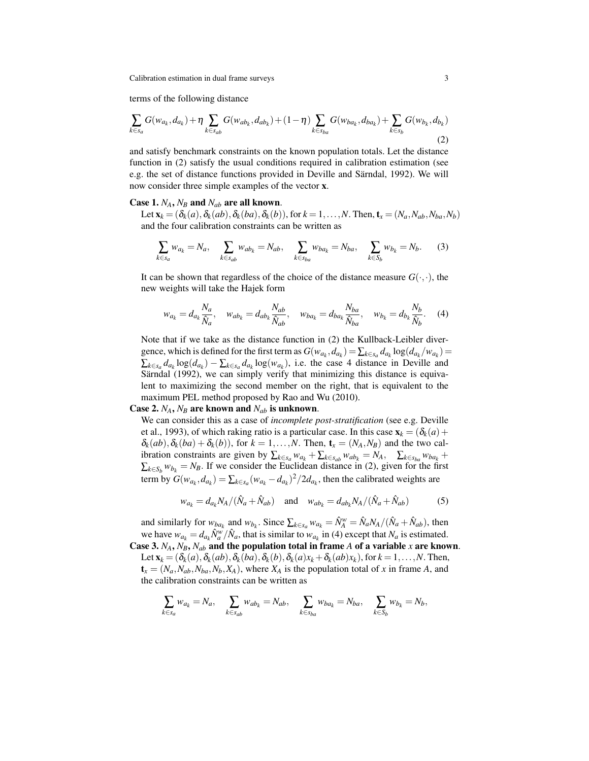Calibration estimation in dual frame surveys 3

terms of the following distance

$$
\sum_{k \in s_a} G(w_{a_k}, d_{a_k}) + \eta \sum_{k \in s_{ab}} G(w_{ab_k}, d_{ab_k}) + (1 - \eta) \sum_{k \in s_{ba}} G(w_{ba_k}, d_{ba_k}) + \sum_{k \in s_b} G(w_{b_k}, d_{b_k})
$$
\n(2)

and satisfy benchmark constraints on the known population totals. Let the distance function in (2) satisfy the usual conditions required in calibration estimation (see e.g. the set of distance functions provided in Deville and Särndal, 1992). We will now consider three simple examples of the vector x.

#### Case 1.  $N_A$ ,  $N_B$  and  $N_{ab}$  are all known.

Let  $\mathbf{x}_k = (\delta_k(a), \delta_k(ab), \delta_k(ba), \delta_k(b))$ , for  $k = 1, \ldots, N$ . Then,  $\mathbf{t}_x = (N_a, N_{ab}, N_{ba}, N_b)$ and the four calibration constraints can be written as

$$
\sum_{k \in s_a} w_{a_k} = N_a, \quad \sum_{k \in s_{ab}} w_{ab_k} = N_{ab}, \quad \sum_{k \in s_{ba}} w_{ba_k} = N_{ba}, \quad \sum_{k \in S_b} w_{b_k} = N_b.
$$
 (3)

It can be shown that regardless of the choice of the distance measure  $G(\cdot, \cdot)$ , the new weights will take the Hajek form

$$
w_{a_k} = d_{a_k} \frac{N_a}{\hat{N}_a}, \quad w_{ab_k} = d_{ab_k} \frac{N_{ab}}{\hat{N}_{ab}}, \quad w_{ba_k} = d_{ba_k} \frac{N_{ba}}{\hat{N}_{ba}}, \quad w_{b_k} = d_{b_k} \frac{N_b}{\hat{N}_b}.
$$
 (4)

Note that if we take as the distance function in (2) the Kullback-Leibler divergence, which is defined for the first term as  $G(w_{a_k}, d_{a_k}) = \sum_{k \in s_a} d_{a_k} \log(d_{a_k}/w_{a_k}) =$  $\sum_{k \in S_a} d_{a_k} \log(d_{a_k}) - \sum_{k \in S_a} d_{a_k} \log(w_{a_k})$ , i.e. the case 4 distance in Deville and Särndal (1992), we can simply verify that minimizing this distance is equivalent to maximizing the second member on the right, that is equivalent to the maximum PEL method proposed by Rao and Wu (2010).

Case 2.  $N_A$ ,  $N_B$  are known and  $N_{ab}$  is unknown.

We can consider this as a case of *incomplete post-stratification* (see e.g. Deville et al., 1993), of which raking ratio is a particular case. In this case  $\mathbf{x}_k = (\delta_k(a) +$  $\delta_k(ab), \delta_k(ba) + \delta_k(b)$ , for  $k = 1, \ldots, N$ . Then,  $\mathbf{t}_x = (N_A, N_B)$  and the two calibration constraints are given by  $\sum_{k \in S_a} w_{a_k} + \sum_{k \in S_{ab}} w_{ab_k} = N_A$ ,  $\sum_{k \in S_{ba}} w_{ba_k} +$  $\sum_{k \in S_b} w_{b_k} = N_B$ . If we consider the Euclidean distance in (2), given for the first term by  $G(w_{a_k}, d_{a_k}) = \sum_{k \in s_a} (w_{a_k} - d_{a_k})^2 / 2d_{a_k}$ , then the calibrated weights are

$$
w_{a_k} = d_{a_k} N_A / (\hat{N}_a + \hat{N}_{ab}) \quad \text{and} \quad w_{ab_k} = d_{ab_k} N_A / (\hat{N}_a + \hat{N}_{ab}) \tag{5}
$$

and similarly for  $w_{ba_k}$  and  $w_{b_k}$ . Since  $\sum_{k \in s_a} w_{a_k} = \hat{N}_A^w = \hat{N}_a N_A / (\hat{N}_a + \hat{N}_{ab})$ , then we have  $w_{a_k} = d_{a_k} \hat{N}_a^w / \hat{N}_a$ , that is similar to  $w_{a_k}$  in (4) except that  $N_a$  is estimated. Case 3.  $N_A$ ,  $N_B$ ,  $N_{ab}$  and the population total in frame *A* of a variable *x* are known.

Let  $\mathbf{x}_k = (\delta_k(a), \delta_k(ab), \delta_k(ba), \delta_k(b), \delta_k(a)x_k + \delta_k(ab)x_k)$ , for  $k = 1, \ldots, N$ . Then,  $\mathbf{t}_x = (N_a, N_{ab}, N_{ba}, N_b, X_A)$ , where  $X_A$  is the population total of *x* in frame *A*, and the calibration constraints can be written as

$$
\sum_{k \in s_a} w_{a_k} = N_a, \quad \sum_{k \in s_{ab}} w_{ab_k} = N_{ab}, \quad \sum_{k \in s_{ba}} w_{ba_k} = N_{ba}, \quad \sum_{k \in S_b} w_{b_k} = N_b,
$$